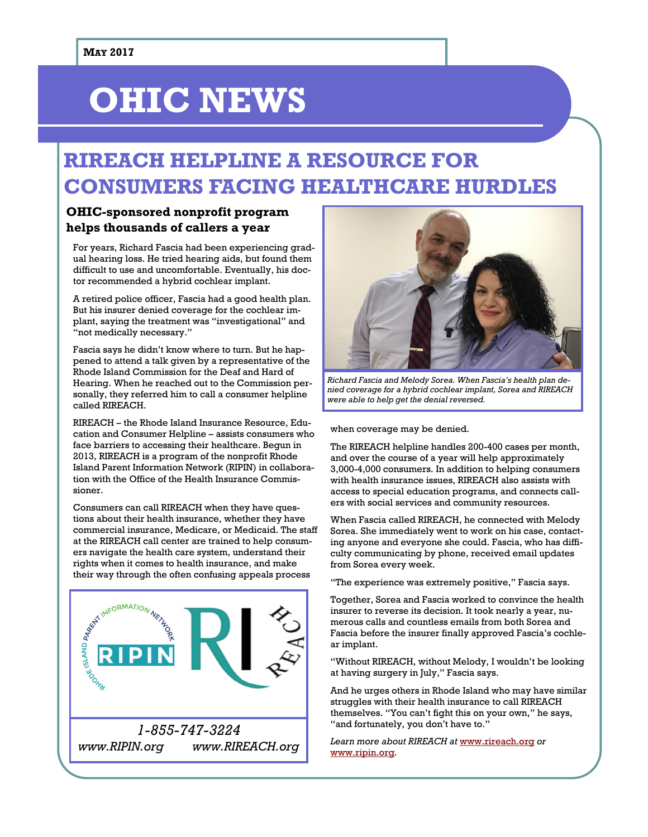# **OHIC NEWS**

## **RIREACH HELPLINE A RESOURCE FOR CONSUMERS FACING HEALTHCARE HURDLES**

### **OHIC-sponsored nonprofit program helps thousands of callers a year**

For years, Richard Fascia had been experiencing gradual hearing loss. He tried hearing aids, but found them difficult to use and uncomfortable. Eventually, his doctor recommended a hybrid cochlear implant.

A retired police officer, Fascia had a good health plan. But his insurer denied coverage for the cochlear implant, saying the treatment was "investigational" and "not medically necessary."

Fascia says he didn't know where to turn. But he happened to attend a talk given by a representative of the Rhode Island Commission for the Deaf and Hard of Hearing. When he reached out to the Commission personally, they referred him to call a consumer helpline called RIREACH.

RIREACH – the Rhode Island Insurance Resource, Education and Consumer Helpline – assists consumers who face barriers to accessing their healthcare. Begun in 2013, RIREACH is a program of the nonprofit Rhode Island Parent Information Network (RIPIN) in collaboration with the Office of the Health Insurance Commissioner.

Consumers can call RIREACH when they have questions about their health insurance, whether they have commercial insurance, Medicare, or Medicaid. The staff at the RIREACH call center are trained to help consumers navigate the health care system, understand their rights when it comes to health insurance, and make



*www.RIPIN.org www.RIREACH.org*



*Richard Fascia and Melody Sorea. When Fascia's health plan denied coverage for a hybrid cochlear implant, Sorea and RIREACH were able to help get the denial reversed.*

when coverage may be denied.

The RIREACH helpline handles 200-400 cases per month, and over the course of a year will help approximately 3,000-4,000 consumers. In addition to helping consumers with health insurance issues, RIREACH also assists with access to special education programs, and connects callers with social services and community resources.

When Fascia called RIREACH, he connected with Melody Sorea. She immediately went to work on his case, contacting anyone and everyone she could. Fascia, who has difficulty communicating by phone, received email updates from Sorea every week.

"The experience was extremely positive," Fascia says.

Together, Sorea and Fascia worked to convince the health insurer to reverse its decision. It took nearly a year, numerous calls and countless emails from both Sorea and Fascia before the insurer finally approved Fascia's cochlear implant.

"Without RIREACH, without Melody, I wouldn't be looking at having surgery in July," Fascia says.

And he urges others in Rhode Island who may have similar struggles with their health insurance to call RIREACH themselves. "You can't fight this on your own," he says, "and fortunately, you don't have to."

*Learn more about RIREACH at* [www.rireach.org](http://www.rireach.org) *or*  [www.ripin.org](http://www.ripin.org)*.*